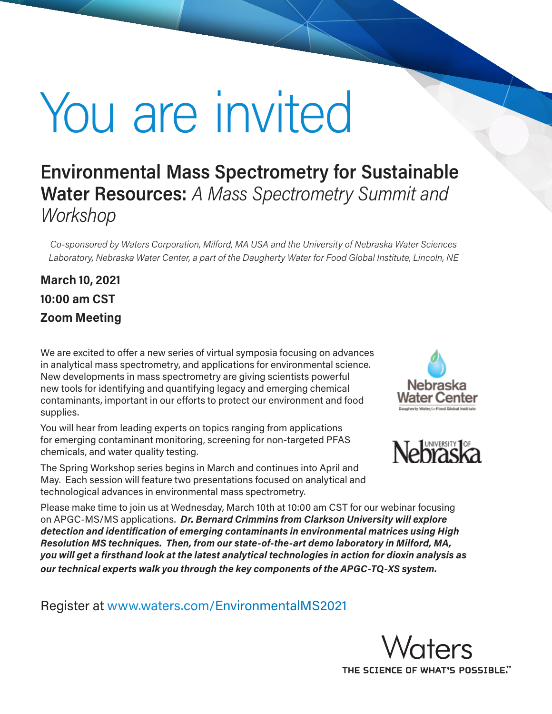# You are invited

## **Environmental Mass Spectrometry for Sustainable Water Resources:** *A Mass Spectrometry Summit and Workshop*

*Co-sponsored by Waters Corporation, Milford, MA USA and the University of Nebraska Water Sciences Laboratory, Nebraska Water Center, a part of the Daugherty Water for Food Global Institute, Lincoln, NE*

## **March 10, 2021 10:00 am CST Zoom Meeting**

We are excited to offer a new series of virtual symposia focusing on advances in analytical mass spectrometry, and applications for environmental science. New developments in mass spectrometry are giving scientists powerful new tools for identifying and quantifying legacy and emerging chemical contaminants, important in our efforts to protect our environment and food supplies.

You will hear from leading experts on topics ranging from applications for emerging contaminant monitoring, screening for non-targeted PFAS chemicals, and water quality testing.

The Spring Workshop series begins in March and continues into April and May. Each session will feature two presentations focused on analytical and technological advances in environmental mass spectrometry.



Please make time to join us at Wednesday, March 10th at 10:00 am CST for our webinar focusing on APGC-MS/MS applications. *Dr. Bernard Crimmins from Clarkson University will explore detection and identification of emerging contaminants in environmental matrices using High Resolution MS techniques. Then, from our state-of-the-art demo laboratory in Milford, MA, you will get a firsthand look at the latest analytical technologies in action for dioxin analysis as our technical experts walk you through the key components of the APGC-TQ-XS system.*

Register at www.waters.com/EnvironmentalMS2021